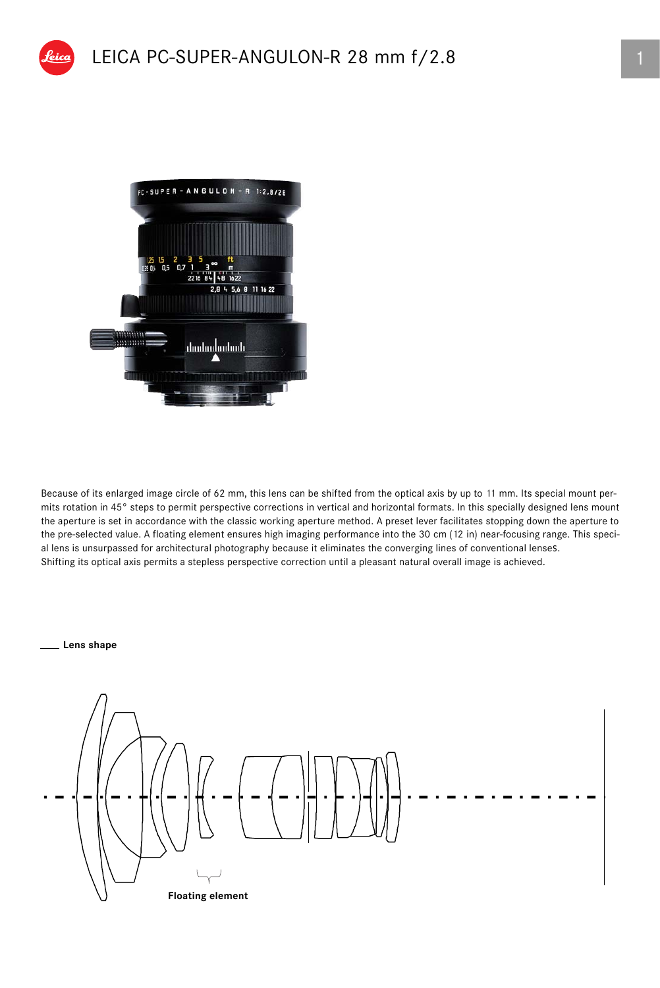



Because of its enlarged image circle of 62 mm, this lens can be shifted from the optical axis by up to 11 mm. Its special mount permits rotation in 45° steps to permit perspective corrections in vertical and horizontal formats. In this specially designed lens mount the aperture is set in accordance with the classic working aperture method. A preset lever facilitates stopping down the aperture to the pre-selected value. A floating element ensures high imaging performance into the 30 cm (12 in) near-focusing range. This special lens is unsurpassed for architectural photography because it eliminates the converging lines of conventional lenses. Shifting its optical axis permits a stepless perspective correction until a pleasant natural overall image is achieved.

## **Lens shape**

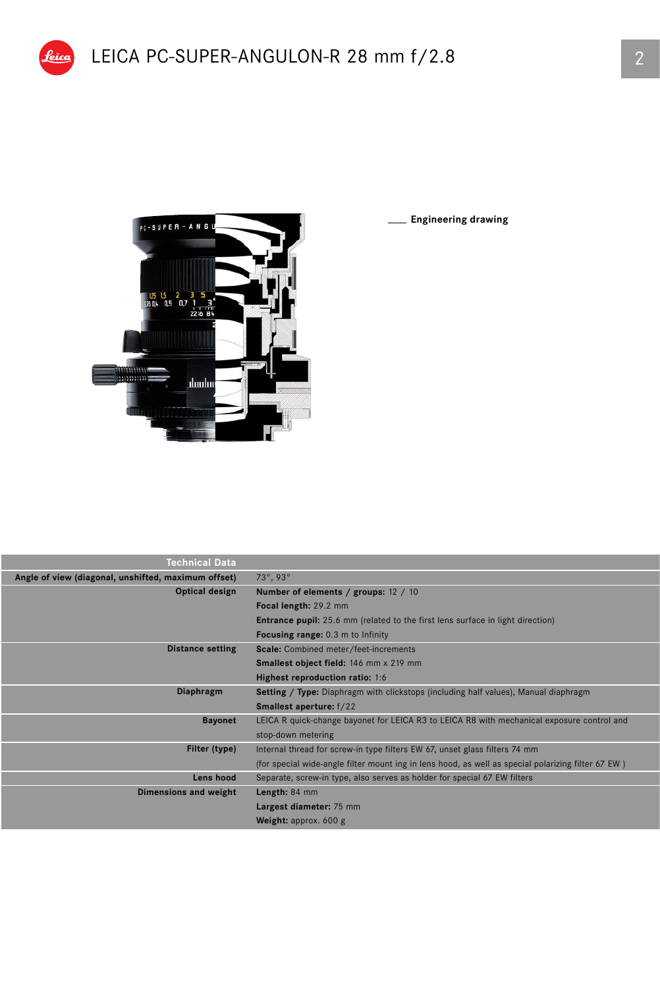

Peica

**Engineering drawing**

| Technical Data                                      |                                                                                                    |  |  |  |
|-----------------------------------------------------|----------------------------------------------------------------------------------------------------|--|--|--|
| Angle of view (diagonal, unshifted, maximum offset) | 73°, 93°                                                                                           |  |  |  |
| Optical design                                      | Number of elements / groups: 12 / 10                                                               |  |  |  |
|                                                     | Focal length: 29.2 mm                                                                              |  |  |  |
|                                                     | <b>Entrance pupil:</b> 25.6 mm (related to the first lens surface in light direction)              |  |  |  |
|                                                     | <b>Focusing range:</b> 0.3 m to Infinity                                                           |  |  |  |
| <b>Distance setting</b>                             | Scale: Combined meter/feet-increments                                                              |  |  |  |
|                                                     | Smallest object field: 146 mm x 219 mm                                                             |  |  |  |
|                                                     | Highest reproduction ratio: 1:6                                                                    |  |  |  |
| Diaphragm                                           | <b>Setting / Type:</b> Diaphragm with clickstops (including half values), Manual diaphragm         |  |  |  |
|                                                     | <b>Smallest aperture:</b> f/22                                                                     |  |  |  |
| <b>Bayonet</b>                                      | LEICA R quick-change bayonet for LEICA R3 to LEICA R8 with mechanical exposure control and         |  |  |  |
|                                                     | stop-down metering                                                                                 |  |  |  |
| Filter (type)                                       | Internal thread for screw-in type filters EW 67, unset glass filters 74 mm                         |  |  |  |
|                                                     | (for special wide-angle filter mount ing in lens hood, as well as special polarizing filter 67 EW) |  |  |  |
| Lens hood                                           | Separate, screw-in type, also serves as holder for special 67 EW filters                           |  |  |  |
| Dimensions and weight                               | Length: 84 mm                                                                                      |  |  |  |
|                                                     | Largest diameter: 75 mm                                                                            |  |  |  |
|                                                     | Weight: approx. $600 g$                                                                            |  |  |  |
|                                                     |                                                                                                    |  |  |  |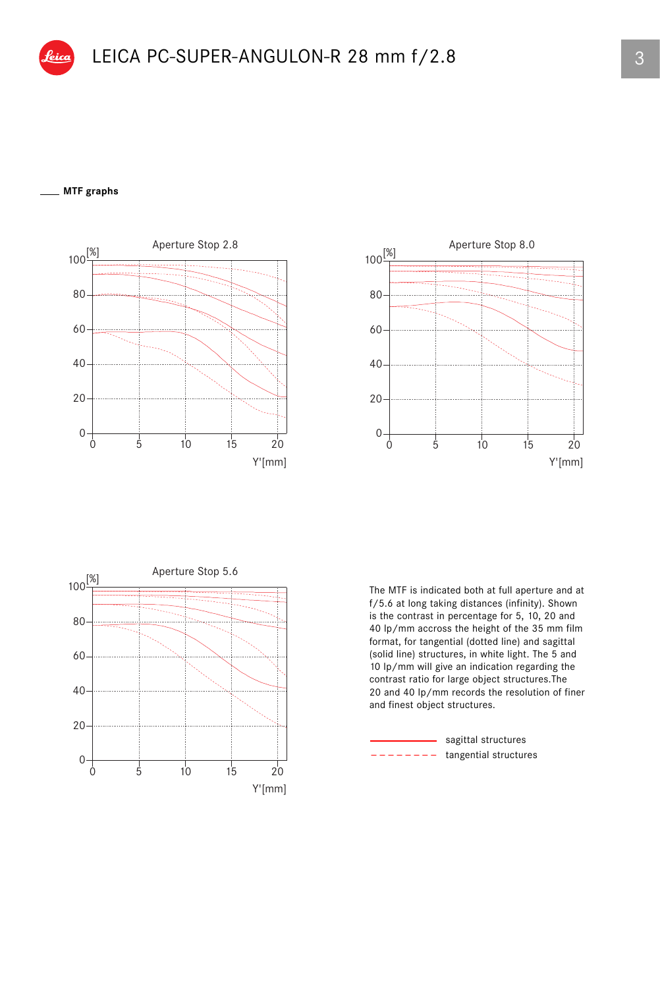## **MTF graphs**







The MTF is indicated both at full aperture and at f/5.6 at long taking distances (infinity). Shown is the contrast in percentage for 5, 10, 20 and 40 lp/mm accross the height of the 35 mm film format, for tangential (dotted line) and sagittal (solid line) structures, in white light. The 5 and 10 lp/mm will give an indication regarding the contrast ratio for large object structures.The 20 and 40 lp/mm records the resolution of finer and finest object structures.

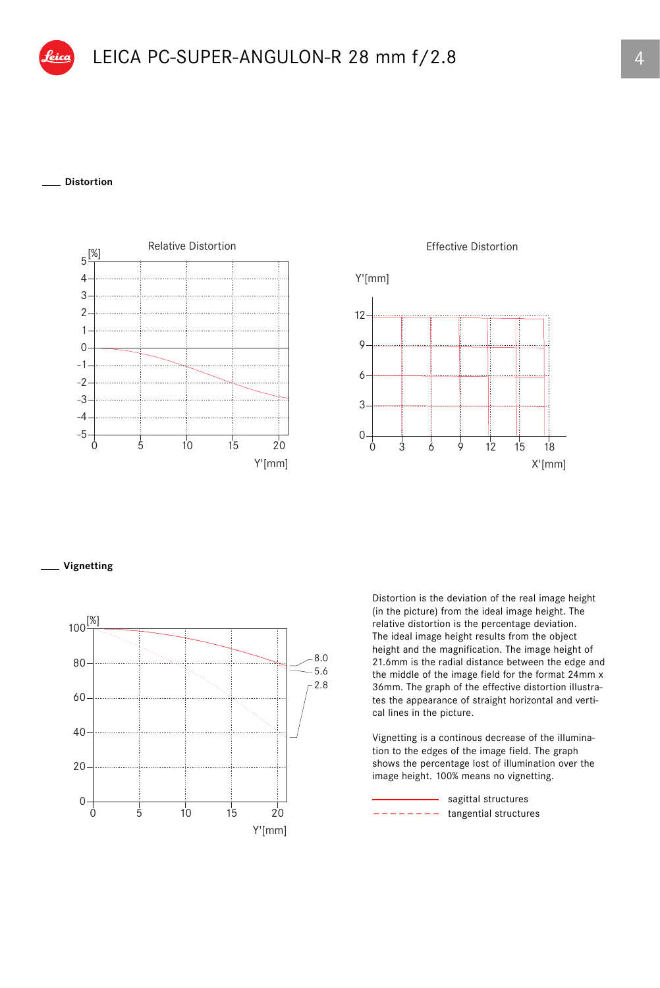## **Distortion**





**Vignetting**



Distortion is the deviation of the real image height (in the picture) from the ideal image height. The relative distortion is the percentage deviation. The ideal image height results from the object height and the magnification. The image height of 21.6mm is the radial distance between the edge and the middle of the image field for the format 24mm x 36mm. The graph of the effective distortion illustrates the appearance of straight horizontal and vertical lines in the picture.

Vignetting is a continous decrease of the illumination to the edges of the image field. The graph shows the percentage lost of illumination over the image height. 100% means no vignetting.

 $------$  tangential structures - sagittal structures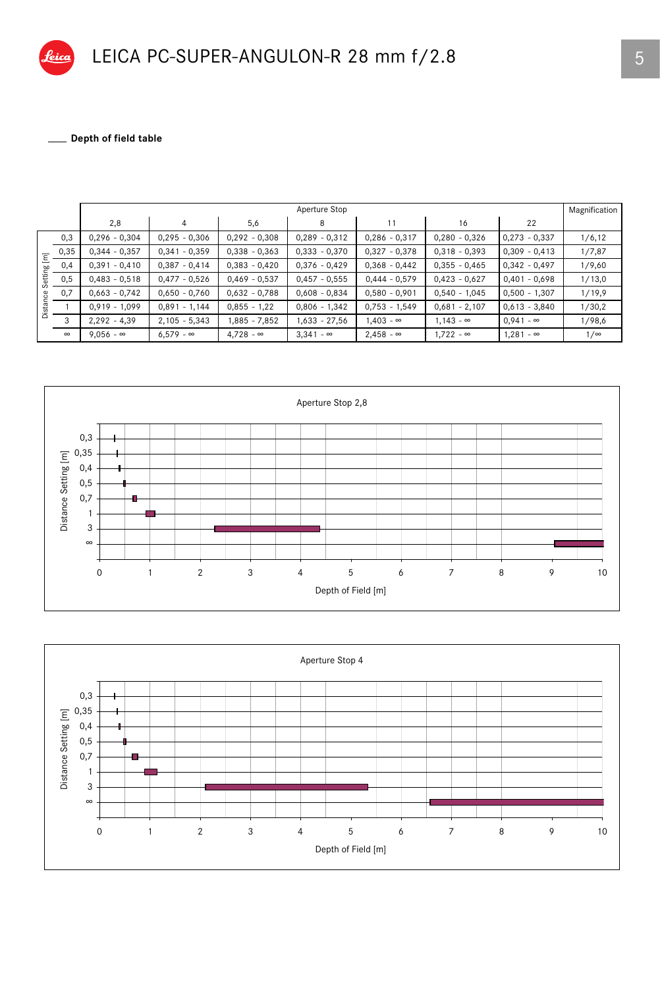\_ Depth of field table

|         |          | Aperture Stop    |                  |                  |                  |                  |                  |                  | Magnification |
|---------|----------|------------------|------------------|------------------|------------------|------------------|------------------|------------------|---------------|
|         |          | 2,8              | 4                | 5,6              | 8                | 11               | 16               | 22               |               |
| Ξ<br>ஹ் | 0,3      | $0,296 - 0,304$  | $0,295 - 0,306$  | $0,292 - 0,308$  | $0,289 - 0,312$  | $0,286 - 0,317$  | $0,280 - 0,326$  | $0,273 - 0,337$  | 1/6, 12       |
|         | 0,35     | $0,344 - 0,357$  | $0,341 - 0,359$  | $0,338 - 0,363$  | $0,333 - 0,370$  | $0,327 - 0,378$  | $0,318 - 0,393$  | $0,309 - 0,413$  | 1/7,87        |
|         | 0,4      | $0,391 - 0,410$  | $0,387 - 0,414$  | $0,383 - 0,420$  | $0,376 - 0,429$  | $0,368 - 0,442$  | $0,355 - 0,465$  | $0,342 - 0,497$  | 1/9,60        |
| Setti   | 0,5      | $0,483 - 0,518$  | $0,477 - 0,526$  | $0,469 - 0,537$  | $0,457 - 0,555$  | $0,444 - 0,579$  | $0,423 - 0,627$  | $0,401 - 0,698$  | 1/13,0        |
| ဗ       | 0,7      | $0,663 - 0,742$  | $0,650 - 0,760$  | $0,632 - 0,788$  | $0,608 - 0,834$  | $0,580 - 0,901$  | $0,540 - 1,045$  | $0,500 - 1,307$  | 1/19,9        |
| Dista   |          | $0,919 - 1,099$  | $0,891 - 1,144$  | $0,855 - 1,22$   | $0,806 - 1,342$  | $0,753 - 1,549$  | $0,681 - 2,107$  | $0,613 - 3,840$  | 1/30,2        |
|         | 3        | $2,292 - 4,39$   | $2,105 - 5,343$  | 1,885 - 7,852    | $1,633 - 27,56$  | $1,403 - \infty$ | $1.143 - \infty$ | $0,941 - \infty$ | 1/98,6        |
|         | $\infty$ | $9.056 - \infty$ | $6.579 - \infty$ | $4.728 - \infty$ | $3,341 - \infty$ | $2,458 - \infty$ | $1.722 - \infty$ | $1,281 - \infty$ | $1/\infty$    |



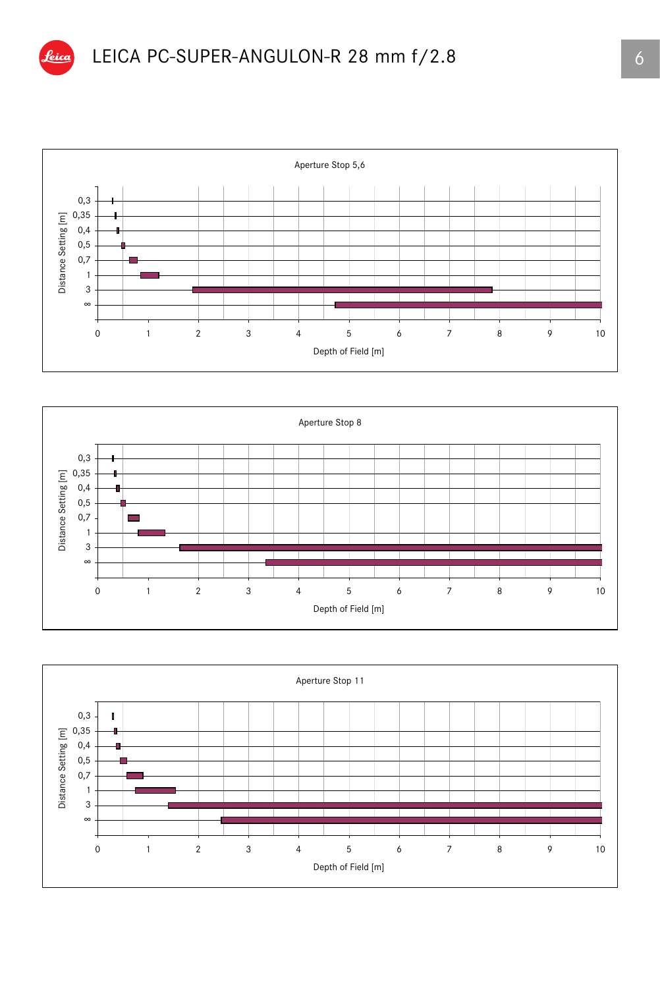